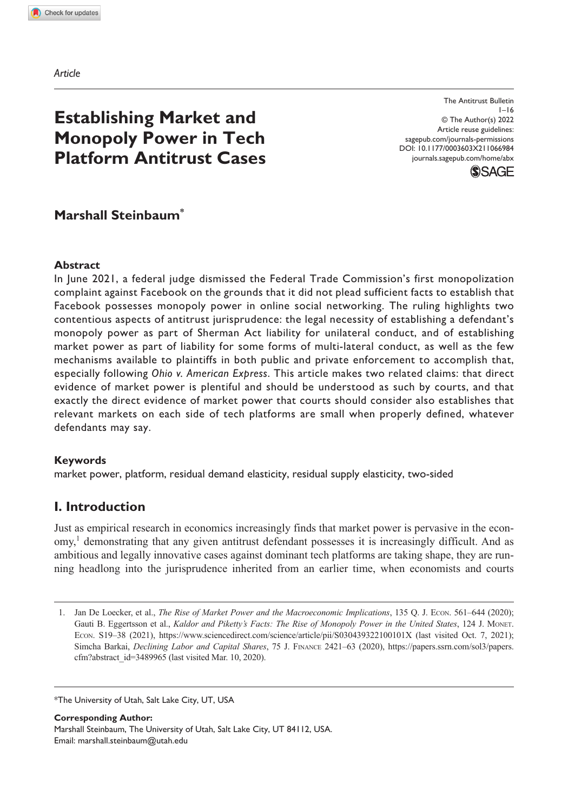*Article*

# **Establishing Market and Monopoly Power in Tech Platform Antitrust Cases**

DOI: 10.1177/0003603X211066984 The Antitrust Bulletin  $1 - 16$ © The Author(s) 2022 Article reuse guidelines: [sagepub.com/journals-permissions](https://us.sagepub.com/en-us/journals-permissions) [journals.sagepub.com/home/abx](https://journals.sagepub.com/home/abx)



## **Marshall Steinbaum\***

#### **Abstract**

In June 2021, a federal judge dismissed the Federal Trade Commission's first monopolization complaint against Facebook on the grounds that it did not plead sufficient facts to establish that Facebook possesses monopoly power in online social networking. The ruling highlights two contentious aspects of antitrust jurisprudence: the legal necessity of establishing a defendant's monopoly power as part of Sherman Act liability for unilateral conduct, and of establishing market power as part of liability for some forms of multi-lateral conduct, as well as the few mechanisms available to plaintiffs in both public and private enforcement to accomplish that, especially following *Ohio v. American Express*. This article makes two related claims: that direct evidence of market power is plentiful and should be understood as such by courts, and that exactly the direct evidence of market power that courts should consider also establishes that relevant markets on each side of tech platforms are small when properly defined, whatever defendants may say.

#### **Keywords**

market power, platform, residual demand elasticity, residual supply elasticity, two-sided

## **I. Introduction**

Just as empirical research in economics increasingly finds that market power is pervasive in the economy,<sup>1</sup> demonstrating that any given antitrust defendant possesses it is increasingly difficult. And as ambitious and legally innovative cases against dominant tech platforms are taking shape, they are running headlong into the jurisprudence inherited from an earlier time, when economists and courts

\*The University of Utah, Salt Lake City, UT, USA

**Corresponding Author:** Marshall Steinbaum, The University of Utah, Salt Lake City, UT 84112, USA. Email: [marshall.steinbaum@utah.edu](mailto:marshall.steinbaum@utah.edu)

<sup>1.</sup> Jan De Loecker, et al., *The Rise of Market Power and the Macroeconomic Implications*, 135 Q. J. Econ. 561–644 (2020); Gauti B. Eggertsson et al., *Kaldor and Piketty's Facts: The Rise of Monopoly Power in the United States*, 124 J. Monet. Econ. S19–38 (2021), <https://www.sciencedirect.com/science/article/pii/S030439322100101X> (last visited Oct. 7, 2021); Simcha Barkai, *Declining Labor and Capital Shares*, 75 J. Finance 2421–63 (2020), [https://papers.ssrn.com/sol3/papers.](https://papers.ssrn.com/sol3/papers.cfm?abstract_id=3489965) [cfm?abstract\\_id=3489965](https://papers.ssrn.com/sol3/papers.cfm?abstract_id=3489965) (last visited Mar. 10, 2020).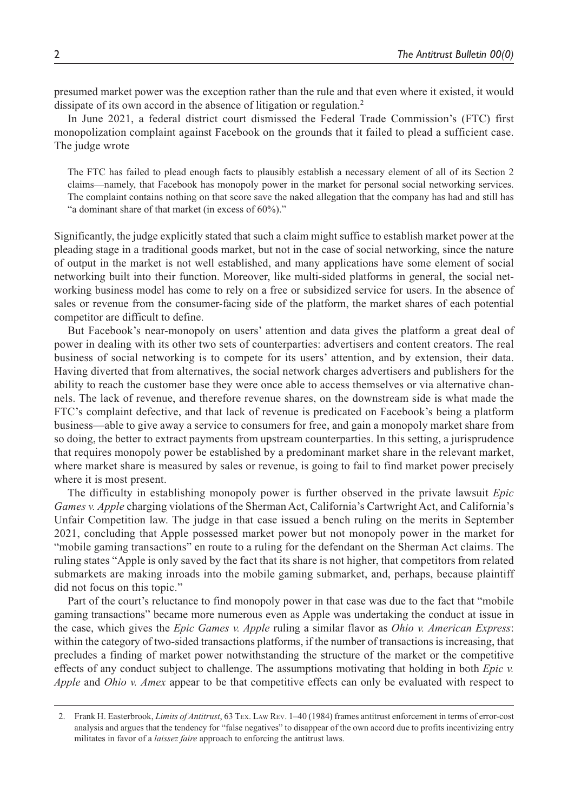presumed market power was the exception rather than the rule and that even where it existed, it would dissipate of its own accord in the absence of litigation or regulation.<sup>2</sup>

In June 2021, a federal district court dismissed the Federal Trade Commission's (FTC) first monopolization complaint against Facebook on the grounds that it failed to plead a sufficient case. The judge wrote

The FTC has failed to plead enough facts to plausibly establish a necessary element of all of its Section 2 claims—namely, that Facebook has monopoly power in the market for personal social networking services. The complaint contains nothing on that score save the naked allegation that the company has had and still has "a dominant share of that market (in excess of 60%)."

Significantly, the judge explicitly stated that such a claim might suffice to establish market power at the pleading stage in a traditional goods market, but not in the case of social networking, since the nature of output in the market is not well established, and many applications have some element of social networking built into their function. Moreover, like multi-sided platforms in general, the social networking business model has come to rely on a free or subsidized service for users. In the absence of sales or revenue from the consumer-facing side of the platform, the market shares of each potential competitor are difficult to define.

But Facebook's near-monopoly on users' attention and data gives the platform a great deal of power in dealing with its other two sets of counterparties: advertisers and content creators. The real business of social networking is to compete for its users' attention, and by extension, their data. Having diverted that from alternatives, the social network charges advertisers and publishers for the ability to reach the customer base they were once able to access themselves or via alternative channels. The lack of revenue, and therefore revenue shares, on the downstream side is what made the FTC's complaint defective, and that lack of revenue is predicated on Facebook's being a platform business—able to give away a service to consumers for free, and gain a monopoly market share from so doing, the better to extract payments from upstream counterparties. In this setting, a jurisprudence that requires monopoly power be established by a predominant market share in the relevant market, where market share is measured by sales or revenue, is going to fail to find market power precisely where it is most present.

The difficulty in establishing monopoly power is further observed in the private lawsuit *Epic Games v. Apple* charging violations of the Sherman Act, California's Cartwright Act, and California's Unfair Competition law. The judge in that case issued a bench ruling on the merits in September 2021, concluding that Apple possessed market power but not monopoly power in the market for "mobile gaming transactions" en route to a ruling for the defendant on the Sherman Act claims. The ruling states "Apple is only saved by the fact that its share is not higher, that competitors from related submarkets are making inroads into the mobile gaming submarket, and, perhaps, because plaintiff did not focus on this topic."

Part of the court's reluctance to find monopoly power in that case was due to the fact that "mobile gaming transactions" became more numerous even as Apple was undertaking the conduct at issue in the case, which gives the *Epic Games v. Apple* ruling a similar flavor as *Ohio v. American Express*: within the category of two-sided transactions platforms, if the number of transactions is increasing, that precludes a finding of market power notwithstanding the structure of the market or the competitive effects of any conduct subject to challenge. The assumptions motivating that holding in both *Epic v. Apple* and *Ohio v. Amex* appear to be that competitive effects can only be evaluated with respect to

<sup>2.</sup> Frank H. Easterbrook, *Limits of Antitrust*, 63 Tex. Law Rev. 1–40 (1984) frames antitrust enforcement in terms of error-cost analysis and argues that the tendency for "false negatives" to disappear of the own accord due to profits incentivizing entry militates in favor of a *laissez faire* approach to enforcing the antitrust laws.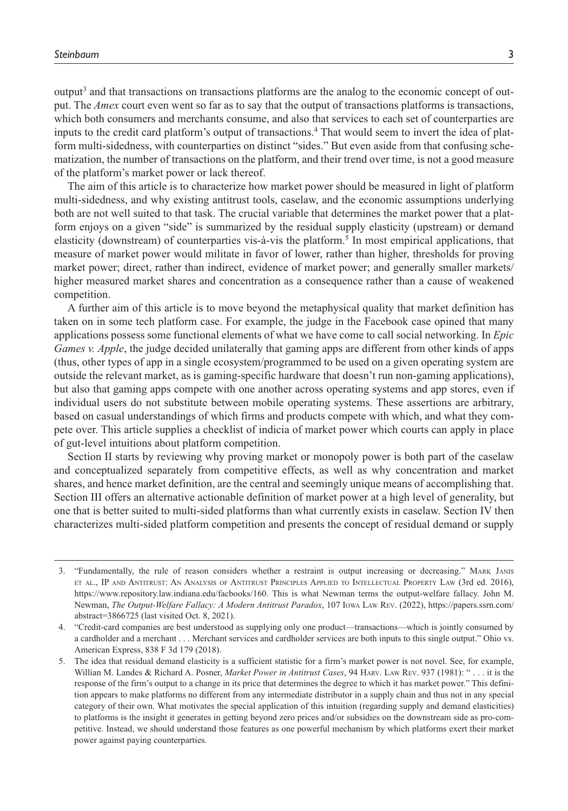output<sup>3</sup> and that transactions on transactions platforms are the analog to the economic concept of output. The *Amex* court even went so far as to say that the output of transactions platforms is transactions, which both consumers and merchants consume, and also that services to each set of counterparties are inputs to the credit card platform's output of transactions.<sup>4</sup> That would seem to invert the idea of platform multi-sidedness, with counterparties on distinct "sides." But even aside from that confusing schematization, the number of transactions on the platform, and their trend over time, is not a good measure of the platform's market power or lack thereof.

The aim of this article is to characterize how market power should be measured in light of platform multi-sidedness, and why existing antitrust tools, caselaw, and the economic assumptions underlying both are not well suited to that task. The crucial variable that determines the market power that a platform enjoys on a given "side" is summarized by the residual supply elasticity (upstream) or demand elasticity (downstream) of counterparties vis-à-vis the platform.<sup>5</sup> In most empirical applications, that measure of market power would militate in favor of lower, rather than higher, thresholds for proving market power; direct, rather than indirect, evidence of market power; and generally smaller markets/ higher measured market shares and concentration as a consequence rather than a cause of weakened competition.

A further aim of this article is to move beyond the metaphysical quality that market definition has taken on in some tech platform case. For example, the judge in the Facebook case opined that many applications possess some functional elements of what we have come to call social networking. In *Epic Games v. Apple*, the judge decided unilaterally that gaming apps are different from other kinds of apps (thus, other types of app in a single ecosystem/programmed to be used on a given operating system are outside the relevant market, as is gaming-specific hardware that doesn't run non-gaming applications), but also that gaming apps compete with one another across operating systems and app stores, even if individual users do not substitute between mobile operating systems. These assertions are arbitrary, based on casual understandings of which firms and products compete with which, and what they compete over. This article supplies a checklist of indicia of market power which courts can apply in place of gut-level intuitions about platform competition.

Section II starts by reviewing why proving market or monopoly power is both part of the caselaw and conceptualized separately from competitive effects, as well as why concentration and market shares, and hence market definition, are the central and seemingly unique means of accomplishing that. Section III offers an alternative actionable definition of market power at a high level of generality, but one that is better suited to multi-sided platforms than what currently exists in caselaw. Section IV then characterizes multi-sided platform competition and presents the concept of residual demand or supply

<sup>3.</sup> "Fundamentally, the rule of reason considers whether a restraint is output increasing or decreasing." Mark Janis et al., IP and Antitrust: An Analysis of Antitrust Principles Applied to Intellectual Property Law (3rd ed. 2016), <https://www.repository.law.indiana.edu/facbooks/160>. This is what Newman terms the output-welfare fallacy. John M. Newman, *The Output-Welfare Fallacy: A Modern Antitrust Paradox*, 107 Iowa Law Rev. (2022), [https://papers.ssrn.com/](https://papers.ssrn.com/abstract=3866725) [abstract=3866725](https://papers.ssrn.com/abstract=3866725) (last visited Oct. 8, 2021).

<sup>4.</sup> "Credit-card companies are best understood as supplying only one product—transactions—which is jointly consumed by a cardholder and a merchant . . . Merchant services and cardholder services are both inputs to this single output." Ohio vs. American Express, 838 F 3d 179 (2018).

<sup>5.</sup> The idea that residual demand elasticity is a sufficient statistic for a firm's market power is not novel. See, for example, Willian M. Landes & Richard A. Posner, *Market Power in Antitrust Cases*, 94 Harv. Law Rev. 937 (1981): " . . . it is the response of the firm's output to a change in its price that determines the degree to which it has market power." This definition appears to make platforms no different from any intermediate distributor in a supply chain and thus not in any special category of their own. What motivates the special application of this intuition (regarding supply and demand elasticities) to platforms is the insight it generates in getting beyond zero prices and/or subsidies on the downstream side as pro-competitive. Instead, we should understand those features as one powerful mechanism by which platforms exert their market power against paying counterparties.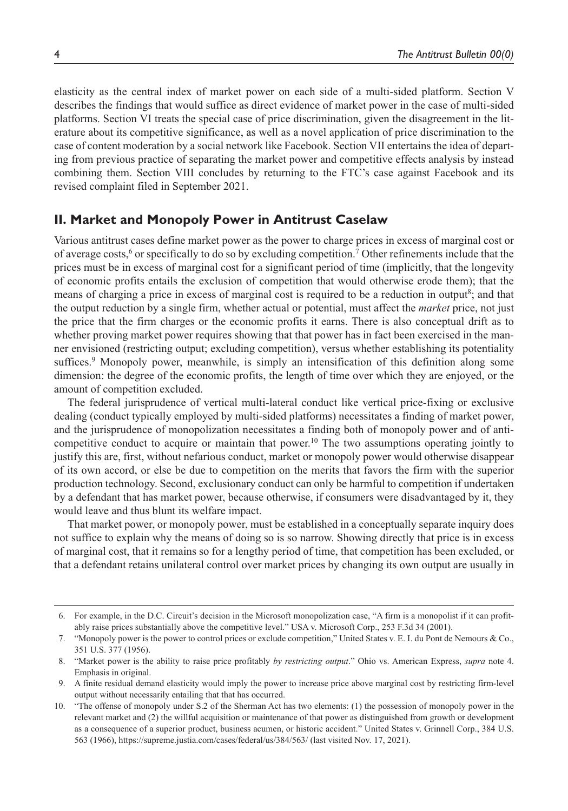elasticity as the central index of market power on each side of a multi-sided platform. Section V describes the findings that would suffice as direct evidence of market power in the case of multi-sided platforms. Section VI treats the special case of price discrimination, given the disagreement in the literature about its competitive significance, as well as a novel application of price discrimination to the case of content moderation by a social network like Facebook. Section VII entertains the idea of departing from previous practice of separating the market power and competitive effects analysis by instead combining them. Section VIII concludes by returning to the FTC's case against Facebook and its revised complaint filed in September 2021.

#### **II. Market and Monopoly Power in Antitrust Caselaw**

Various antitrust cases define market power as the power to charge prices in excess of marginal cost or of average costs,<sup>6</sup> or specifically to do so by excluding competition.<sup>7</sup> Other refinements include that the prices must be in excess of marginal cost for a significant period of time (implicitly, that the longevity of economic profits entails the exclusion of competition that would otherwise erode them); that the means of charging a price in excess of marginal cost is required to be a reduction in output<sup>8</sup>; and that the output reduction by a single firm, whether actual or potential, must affect the *market* price, not just the price that the firm charges or the economic profits it earns. There is also conceptual drift as to whether proving market power requires showing that that power has in fact been exercised in the manner envisioned (restricting output; excluding competition), versus whether establishing its potentiality suffices.<sup>9</sup> Monopoly power, meanwhile, is simply an intensification of this definition along some dimension: the degree of the economic profits, the length of time over which they are enjoyed, or the amount of competition excluded.

The federal jurisprudence of vertical multi-lateral conduct like vertical price-fixing or exclusive dealing (conduct typically employed by multi-sided platforms) necessitates a finding of market power, and the jurisprudence of monopolization necessitates a finding both of monopoly power and of anticompetitive conduct to acquire or maintain that power.<sup>10</sup> The two assumptions operating jointly to justify this are, first, without nefarious conduct, market or monopoly power would otherwise disappear of its own accord, or else be due to competition on the merits that favors the firm with the superior production technology. Second, exclusionary conduct can only be harmful to competition if undertaken by a defendant that has market power, because otherwise, if consumers were disadvantaged by it, they would leave and thus blunt its welfare impact.

That market power, or monopoly power, must be established in a conceptually separate inquiry does not suffice to explain why the means of doing so is so narrow. Showing directly that price is in excess of marginal cost, that it remains so for a lengthy period of time, that competition has been excluded, or that a defendant retains unilateral control over market prices by changing its own output are usually in

<sup>6.</sup> For example, in the D.C. Circuit's decision in the Microsoft monopolization case, "A firm is a monopolist if it can profitably raise prices substantially above the competitive level." USA v. Microsoft Corp., 253 F.3d 34 (2001).

<sup>7.</sup> "Monopoly power is the power to control prices or exclude competition," United States v. E. I. du Pont de Nemours & Co., 351 U.S. 377 (1956).

<sup>8.</sup> "Market power is the ability to raise price profitably *by restricting output*." Ohio vs. American Express, *supra* note 4. Emphasis in original.

<sup>9.</sup> A finite residual demand elasticity would imply the power to increase price above marginal cost by restricting firm-level output without necessarily entailing that that has occurred.

<sup>10.</sup> "The offense of monopoly under S.2 of the Sherman Act has two elements: (1) the possession of monopoly power in the relevant market and (2) the willful acquisition or maintenance of that power as distinguished from growth or development as a consequence of a superior product, business acumen, or historic accident." United States v. Grinnell Corp., 384 U.S. 563 (1966),<https://supreme.justia.com/cases/federal/us/384/563/> (last visited Nov. 17, 2021).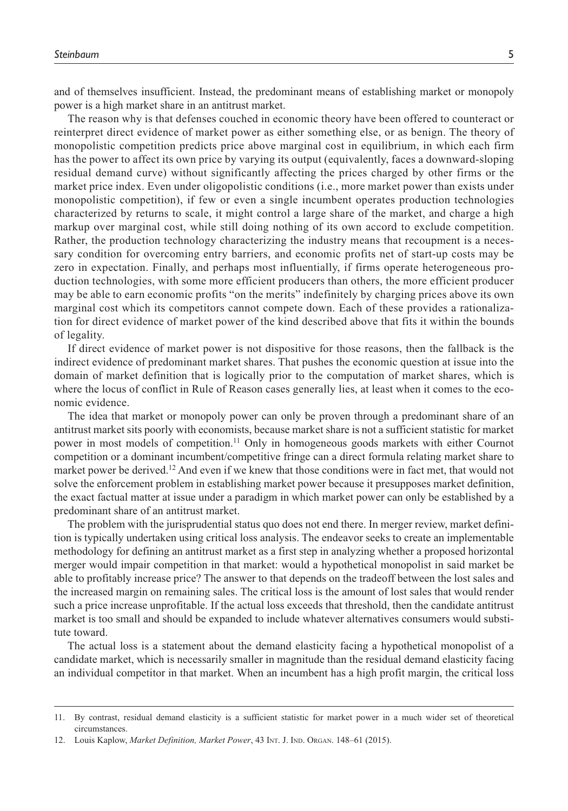and of themselves insufficient. Instead, the predominant means of establishing market or monopoly power is a high market share in an antitrust market.

The reason why is that defenses couched in economic theory have been offered to counteract or reinterpret direct evidence of market power as either something else, or as benign. The theory of monopolistic competition predicts price above marginal cost in equilibrium, in which each firm has the power to affect its own price by varying its output (equivalently, faces a downward-sloping residual demand curve) without significantly affecting the prices charged by other firms or the market price index. Even under oligopolistic conditions (i.e., more market power than exists under monopolistic competition), if few or even a single incumbent operates production technologies characterized by returns to scale, it might control a large share of the market, and charge a high markup over marginal cost, while still doing nothing of its own accord to exclude competition. Rather, the production technology characterizing the industry means that recoupment is a necessary condition for overcoming entry barriers, and economic profits net of start-up costs may be zero in expectation. Finally, and perhaps most influentially, if firms operate heterogeneous production technologies, with some more efficient producers than others, the more efficient producer may be able to earn economic profits "on the merits" indefinitely by charging prices above its own marginal cost which its competitors cannot compete down. Each of these provides a rationalization for direct evidence of market power of the kind described above that fits it within the bounds of legality.

If direct evidence of market power is not dispositive for those reasons, then the fallback is the indirect evidence of predominant market shares. That pushes the economic question at issue into the domain of market definition that is logically prior to the computation of market shares, which is where the locus of conflict in Rule of Reason cases generally lies, at least when it comes to the economic evidence.

The idea that market or monopoly power can only be proven through a predominant share of an antitrust market sits poorly with economists, because market share is not a sufficient statistic for market power in most models of competition.11 Only in homogeneous goods markets with either Cournot competition or a dominant incumbent/competitive fringe can a direct formula relating market share to market power be derived.<sup>12</sup> And even if we knew that those conditions were in fact met, that would not solve the enforcement problem in establishing market power because it presupposes market definition, the exact factual matter at issue under a paradigm in which market power can only be established by a predominant share of an antitrust market.

The problem with the jurisprudential status quo does not end there. In merger review, market definition is typically undertaken using critical loss analysis. The endeavor seeks to create an implementable methodology for defining an antitrust market as a first step in analyzing whether a proposed horizontal merger would impair competition in that market: would a hypothetical monopolist in said market be able to profitably increase price? The answer to that depends on the tradeoff between the lost sales and the increased margin on remaining sales. The critical loss is the amount of lost sales that would render such a price increase unprofitable. If the actual loss exceeds that threshold, then the candidate antitrust market is too small and should be expanded to include whatever alternatives consumers would substitute toward.

The actual loss is a statement about the demand elasticity facing a hypothetical monopolist of a candidate market, which is necessarily smaller in magnitude than the residual demand elasticity facing an individual competitor in that market. When an incumbent has a high profit margin, the critical loss

<sup>11.</sup> By contrast, residual demand elasticity is a sufficient statistic for market power in a much wider set of theoretical circumstances.

<sup>12.</sup> Louis Kaplow, *Market Definition, Market Power*, 43 Int. J. Ind. Organ. 148–61 (2015).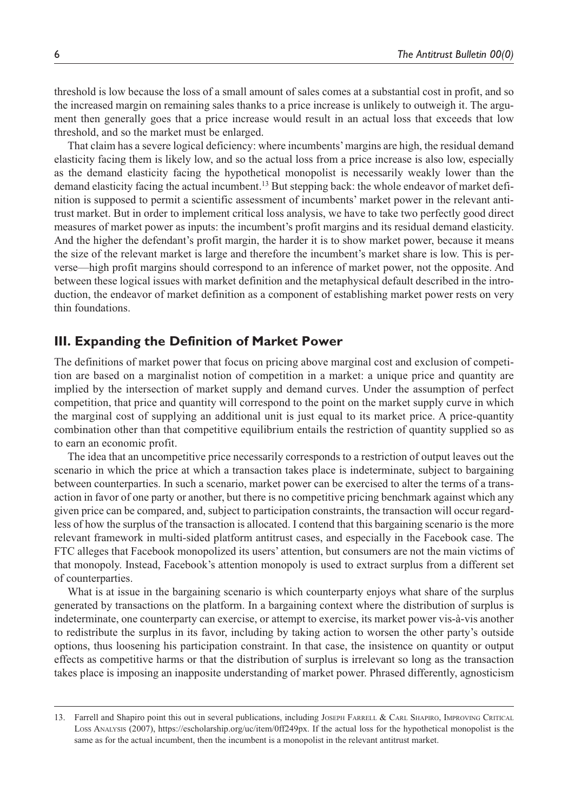threshold is low because the loss of a small amount of sales comes at a substantial cost in profit, and so the increased margin on remaining sales thanks to a price increase is unlikely to outweigh it. The argument then generally goes that a price increase would result in an actual loss that exceeds that low threshold, and so the market must be enlarged.

That claim has a severe logical deficiency: where incumbents' margins are high, the residual demand elasticity facing them is likely low, and so the actual loss from a price increase is also low, especially as the demand elasticity facing the hypothetical monopolist is necessarily weakly lower than the demand elasticity facing the actual incumbent.13 But stepping back: the whole endeavor of market definition is supposed to permit a scientific assessment of incumbents' market power in the relevant antitrust market. But in order to implement critical loss analysis, we have to take two perfectly good direct measures of market power as inputs: the incumbent's profit margins and its residual demand elasticity. And the higher the defendant's profit margin, the harder it is to show market power, because it means the size of the relevant market is large and therefore the incumbent's market share is low. This is perverse—high profit margins should correspond to an inference of market power, not the opposite. And between these logical issues with market definition and the metaphysical default described in the introduction, the endeavor of market definition as a component of establishing market power rests on very thin foundations.

#### **III. Expanding the Definition of Market Power**

The definitions of market power that focus on pricing above marginal cost and exclusion of competition are based on a marginalist notion of competition in a market: a unique price and quantity are implied by the intersection of market supply and demand curves. Under the assumption of perfect competition, that price and quantity will correspond to the point on the market supply curve in which the marginal cost of supplying an additional unit is just equal to its market price. A price-quantity combination other than that competitive equilibrium entails the restriction of quantity supplied so as to earn an economic profit.

The idea that an uncompetitive price necessarily corresponds to a restriction of output leaves out the scenario in which the price at which a transaction takes place is indeterminate, subject to bargaining between counterparties. In such a scenario, market power can be exercised to alter the terms of a transaction in favor of one party or another, but there is no competitive pricing benchmark against which any given price can be compared, and, subject to participation constraints, the transaction will occur regardless of how the surplus of the transaction is allocated. I contend that this bargaining scenario is the more relevant framework in multi-sided platform antitrust cases, and especially in the Facebook case. The FTC alleges that Facebook monopolized its users' attention, but consumers are not the main victims of that monopoly. Instead, Facebook's attention monopoly is used to extract surplus from a different set of counterparties.

What is at issue in the bargaining scenario is which counterparty enjoys what share of the surplus generated by transactions on the platform. In a bargaining context where the distribution of surplus is indeterminate, one counterparty can exercise, or attempt to exercise, its market power vis-à-vis another to redistribute the surplus in its favor, including by taking action to worsen the other party's outside options, thus loosening his participation constraint. In that case, the insistence on quantity or output effects as competitive harms or that the distribution of surplus is irrelevant so long as the transaction takes place is imposing an inapposite understanding of market power. Phrased differently, agnosticism

<sup>13.</sup> Farrell and Shapiro point this out in several publications, including JOSEPH FARRELL & CARL SHAPIRO, IMPROVING CRITICAL Loss Analysis (2007), [https://escholarship.org/uc/item/0ff249px.](https://escholarship.org/uc/item/0ff249px) If the actual loss for the hypothetical monopolist is the same as for the actual incumbent, then the incumbent is a monopolist in the relevant antitrust market.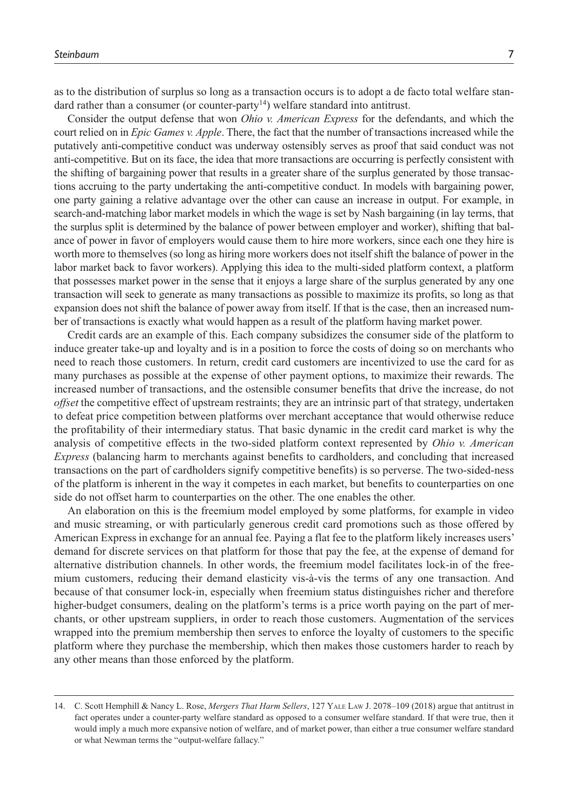as to the distribution of surplus so long as a transaction occurs is to adopt a de facto total welfare standard rather than a consumer (or counter-party<sup>14</sup>) welfare standard into antitrust.

Consider the output defense that won *Ohio v. American Express* for the defendants, and which the court relied on in *Epic Games v. Apple*. There, the fact that the number of transactions increased while the putatively anti-competitive conduct was underway ostensibly serves as proof that said conduct was not anti-competitive. But on its face, the idea that more transactions are occurring is perfectly consistent with the shifting of bargaining power that results in a greater share of the surplus generated by those transactions accruing to the party undertaking the anti-competitive conduct. In models with bargaining power, one party gaining a relative advantage over the other can cause an increase in output. For example, in search-and-matching labor market models in which the wage is set by Nash bargaining (in lay terms, that the surplus split is determined by the balance of power between employer and worker), shifting that balance of power in favor of employers would cause them to hire more workers, since each one they hire is worth more to themselves (so long as hiring more workers does not itself shift the balance of power in the labor market back to favor workers). Applying this idea to the multi-sided platform context, a platform that possesses market power in the sense that it enjoys a large share of the surplus generated by any one transaction will seek to generate as many transactions as possible to maximize its profits, so long as that expansion does not shift the balance of power away from itself. If that is the case, then an increased number of transactions is exactly what would happen as a result of the platform having market power.

Credit cards are an example of this. Each company subsidizes the consumer side of the platform to induce greater take-up and loyalty and is in a position to force the costs of doing so on merchants who need to reach those customers. In return, credit card customers are incentivized to use the card for as many purchases as possible at the expense of other payment options, to maximize their rewards. The increased number of transactions, and the ostensible consumer benefits that drive the increase, do not *offset* the competitive effect of upstream restraints; they are an intrinsic part of that strategy, undertaken to defeat price competition between platforms over merchant acceptance that would otherwise reduce the profitability of their intermediary status. That basic dynamic in the credit card market is why the analysis of competitive effects in the two-sided platform context represented by *Ohio v. American Express* (balancing harm to merchants against benefits to cardholders, and concluding that increased transactions on the part of cardholders signify competitive benefits) is so perverse. The two-sided-ness of the platform is inherent in the way it competes in each market, but benefits to counterparties on one side do not offset harm to counterparties on the other. The one enables the other.

An elaboration on this is the freemium model employed by some platforms, for example in video and music streaming, or with particularly generous credit card promotions such as those offered by American Express in exchange for an annual fee. Paying a flat fee to the platform likely increases users' demand for discrete services on that platform for those that pay the fee, at the expense of demand for alternative distribution channels. In other words, the freemium model facilitates lock-in of the freemium customers, reducing their demand elasticity vis-à-vis the terms of any one transaction. And because of that consumer lock-in, especially when freemium status distinguishes richer and therefore higher-budget consumers, dealing on the platform's terms is a price worth paying on the part of merchants, or other upstream suppliers, in order to reach those customers. Augmentation of the services wrapped into the premium membership then serves to enforce the loyalty of customers to the specific platform where they purchase the membership, which then makes those customers harder to reach by any other means than those enforced by the platform.

<sup>14.</sup> C. Scott Hemphill & Nancy L. Rose, *Mergers That Harm Sellers*, 127 Yale Law J. 2078–109 (2018) argue that antitrust in fact operates under a counter-party welfare standard as opposed to a consumer welfare standard. If that were true, then it would imply a much more expansive notion of welfare, and of market power, than either a true consumer welfare standard or what Newman terms the "output-welfare fallacy."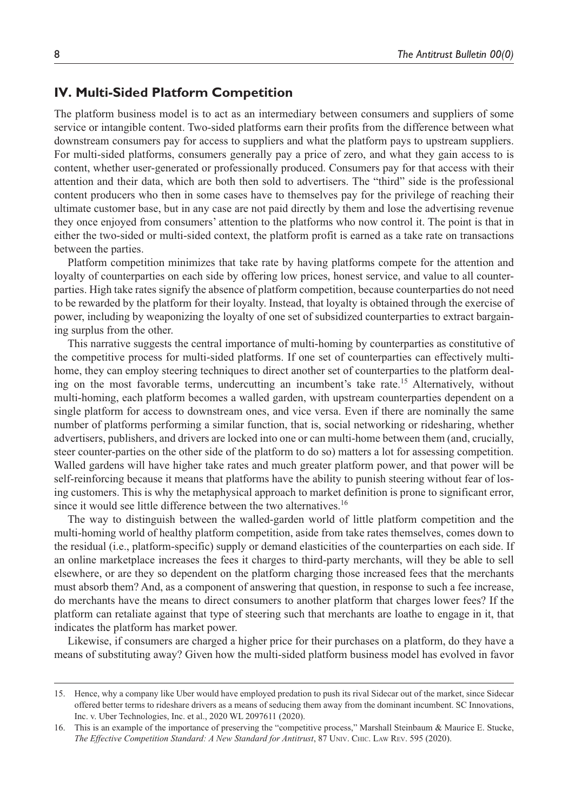## **IV. Multi-Sided Platform Competition**

The platform business model is to act as an intermediary between consumers and suppliers of some service or intangible content. Two-sided platforms earn their profits from the difference between what downstream consumers pay for access to suppliers and what the platform pays to upstream suppliers. For multi-sided platforms, consumers generally pay a price of zero, and what they gain access to is content, whether user-generated or professionally produced. Consumers pay for that access with their attention and their data, which are both then sold to advertisers. The "third" side is the professional content producers who then in some cases have to themselves pay for the privilege of reaching their ultimate customer base, but in any case are not paid directly by them and lose the advertising revenue they once enjoyed from consumers' attention to the platforms who now control it. The point is that in either the two-sided or multi-sided context, the platform profit is earned as a take rate on transactions between the parties.

Platform competition minimizes that take rate by having platforms compete for the attention and loyalty of counterparties on each side by offering low prices, honest service, and value to all counterparties. High take rates signify the absence of platform competition, because counterparties do not need to be rewarded by the platform for their loyalty. Instead, that loyalty is obtained through the exercise of power, including by weaponizing the loyalty of one set of subsidized counterparties to extract bargaining surplus from the other.

This narrative suggests the central importance of multi-homing by counterparties as constitutive of the competitive process for multi-sided platforms. If one set of counterparties can effectively multihome, they can employ steering techniques to direct another set of counterparties to the platform dealing on the most favorable terms, undercutting an incumbent's take rate.15 Alternatively, without multi-homing, each platform becomes a walled garden, with upstream counterparties dependent on a single platform for access to downstream ones, and vice versa. Even if there are nominally the same number of platforms performing a similar function, that is, social networking or ridesharing, whether advertisers, publishers, and drivers are locked into one or can multi-home between them (and, crucially, steer counter-parties on the other side of the platform to do so) matters a lot for assessing competition. Walled gardens will have higher take rates and much greater platform power, and that power will be self-reinforcing because it means that platforms have the ability to punish steering without fear of losing customers. This is why the metaphysical approach to market definition is prone to significant error, since it would see little difference between the two alternatives.<sup>16</sup>

The way to distinguish between the walled-garden world of little platform competition and the multi-homing world of healthy platform competition, aside from take rates themselves, comes down to the residual (i.e., platform-specific) supply or demand elasticities of the counterparties on each side. If an online marketplace increases the fees it charges to third-party merchants, will they be able to sell elsewhere, or are they so dependent on the platform charging those increased fees that the merchants must absorb them? And, as a component of answering that question, in response to such a fee increase, do merchants have the means to direct consumers to another platform that charges lower fees? If the platform can retaliate against that type of steering such that merchants are loathe to engage in it, that indicates the platform has market power.

Likewise, if consumers are charged a higher price for their purchases on a platform, do they have a means of substituting away? Given how the multi-sided platform business model has evolved in favor

<sup>15.</sup> Hence, why a company like Uber would have employed predation to push its rival Sidecar out of the market, since Sidecar offered better terms to rideshare drivers as a means of seducing them away from the dominant incumbent. SC Innovations, Inc. v. Uber Technologies, Inc. et al., 2020 WL 2097611 (2020).

<sup>16.</sup> This is an example of the importance of preserving the "competitive process," Marshall Steinbaum & Maurice E. Stucke, *The Effective Competition Standard: A New Standard for Antitrust*, 87 Univ. Chic. Law Rev. 595 (2020).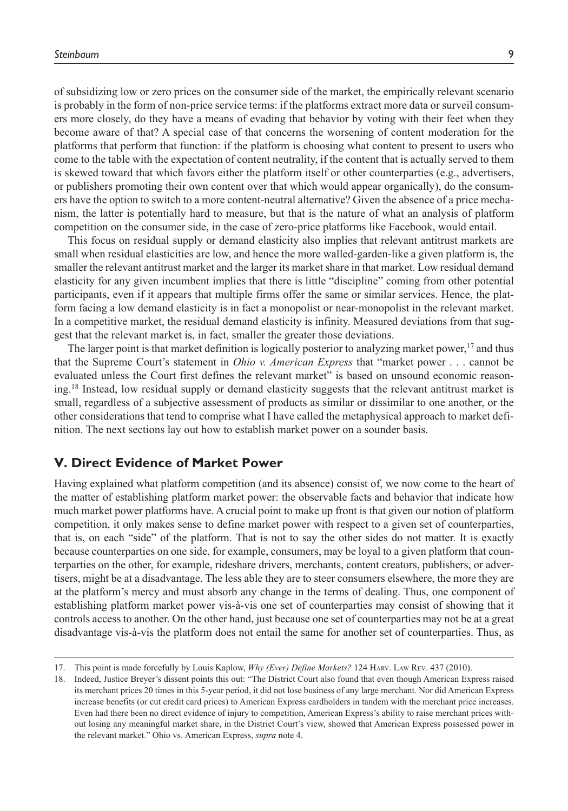of subsidizing low or zero prices on the consumer side of the market, the empirically relevant scenario is probably in the form of non-price service terms: if the platforms extract more data or surveil consumers more closely, do they have a means of evading that behavior by voting with their feet when they become aware of that? A special case of that concerns the worsening of content moderation for the platforms that perform that function: if the platform is choosing what content to present to users who come to the table with the expectation of content neutrality, if the content that is actually served to them is skewed toward that which favors either the platform itself or other counterparties (e.g., advertisers, or publishers promoting their own content over that which would appear organically), do the consumers have the option to switch to a more content-neutral alternative? Given the absence of a price mechanism, the latter is potentially hard to measure, but that is the nature of what an analysis of platform competition on the consumer side, in the case of zero-price platforms like Facebook, would entail.

This focus on residual supply or demand elasticity also implies that relevant antitrust markets are small when residual elasticities are low, and hence the more walled-garden-like a given platform is, the smaller the relevant antitrust market and the larger its market share in that market. Low residual demand elasticity for any given incumbent implies that there is little "discipline" coming from other potential participants, even if it appears that multiple firms offer the same or similar services. Hence, the platform facing a low demand elasticity is in fact a monopolist or near-monopolist in the relevant market. In a competitive market, the residual demand elasticity is infinity. Measured deviations from that suggest that the relevant market is, in fact, smaller the greater those deviations.

The larger point is that market definition is logically posterior to analyzing market power, $17$  and thus that the Supreme Court's statement in *Ohio v. American Express* that "market power . . . cannot be evaluated unless the Court first defines the relevant market" is based on unsound economic reasoning.18 Instead, low residual supply or demand elasticity suggests that the relevant antitrust market is small, regardless of a subjective assessment of products as similar or dissimilar to one another, or the other considerations that tend to comprise what I have called the metaphysical approach to market definition. The next sections lay out how to establish market power on a sounder basis.

## **V. Direct Evidence of Market Power**

Having explained what platform competition (and its absence) consist of, we now come to the heart of the matter of establishing platform market power: the observable facts and behavior that indicate how much market power platforms have. A crucial point to make up front is that given our notion of platform competition, it only makes sense to define market power with respect to a given set of counterparties, that is, on each "side" of the platform. That is not to say the other sides do not matter. It is exactly because counterparties on one side, for example, consumers, may be loyal to a given platform that counterparties on the other, for example, rideshare drivers, merchants, content creators, publishers, or advertisers, might be at a disadvantage. The less able they are to steer consumers elsewhere, the more they are at the platform's mercy and must absorb any change in the terms of dealing. Thus, one component of establishing platform market power vis-à-vis one set of counterparties may consist of showing that it controls access to another. On the other hand, just because one set of counterparties may not be at a great disadvantage vis-à-vis the platform does not entail the same for another set of counterparties. Thus, as

<sup>17.</sup> This point is made forcefully by Louis Kaplow, *Why (Ever) Define Markets?* 124 Harv. Law Rev. 437 (2010).

<sup>18.</sup> Indeed, Justice Breyer's dissent points this out: "The District Court also found that even though American Express raised its merchant prices 20 times in this 5-year period, it did not lose business of any large merchant. Nor did American Express increase benefits (or cut credit card prices) to American Express cardholders in tandem with the merchant price increases. Even had there been no direct evidence of injury to competition, American Express's ability to raise merchant prices without losing any meaningful market share, in the District Court's view, showed that American Express possessed power in the relevant market." Ohio vs. American Express, *supra* note 4.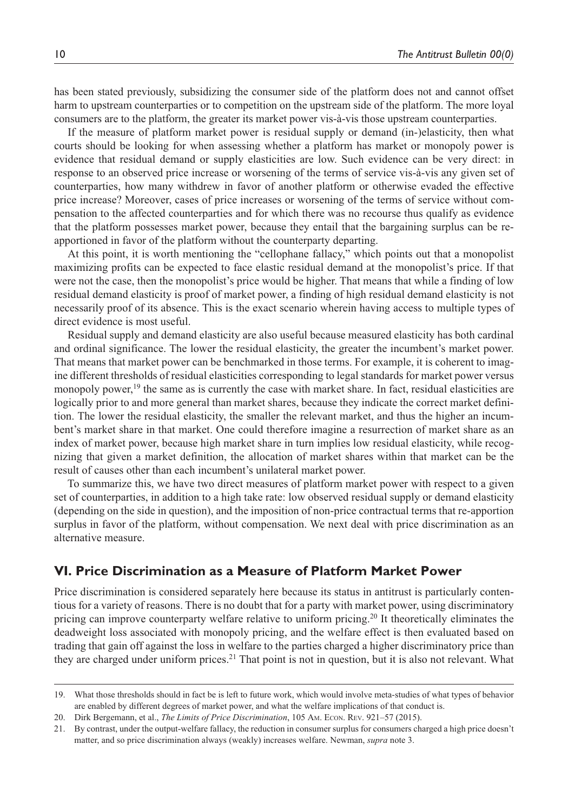has been stated previously, subsidizing the consumer side of the platform does not and cannot offset harm to upstream counterparties or to competition on the upstream side of the platform. The more loyal consumers are to the platform, the greater its market power vis-à-vis those upstream counterparties.

If the measure of platform market power is residual supply or demand (in-)elasticity, then what courts should be looking for when assessing whether a platform has market or monopoly power is evidence that residual demand or supply elasticities are low. Such evidence can be very direct: in response to an observed price increase or worsening of the terms of service vis-à-vis any given set of counterparties, how many withdrew in favor of another platform or otherwise evaded the effective price increase? Moreover, cases of price increases or worsening of the terms of service without compensation to the affected counterparties and for which there was no recourse thus qualify as evidence that the platform possesses market power, because they entail that the bargaining surplus can be reapportioned in favor of the platform without the counterparty departing.

At this point, it is worth mentioning the "cellophane fallacy," which points out that a monopolist maximizing profits can be expected to face elastic residual demand at the monopolist's price. If that were not the case, then the monopolist's price would be higher. That means that while a finding of low residual demand elasticity is proof of market power, a finding of high residual demand elasticity is not necessarily proof of its absence. This is the exact scenario wherein having access to multiple types of direct evidence is most useful.

Residual supply and demand elasticity are also useful because measured elasticity has both cardinal and ordinal significance. The lower the residual elasticity, the greater the incumbent's market power. That means that market power can be benchmarked in those terms. For example, it is coherent to imagine different thresholds of residual elasticities corresponding to legal standards for market power versus monopoly power, $19$  the same as is currently the case with market share. In fact, residual elasticities are logically prior to and more general than market shares, because they indicate the correct market definition. The lower the residual elasticity, the smaller the relevant market, and thus the higher an incumbent's market share in that market. One could therefore imagine a resurrection of market share as an index of market power, because high market share in turn implies low residual elasticity, while recognizing that given a market definition, the allocation of market shares within that market can be the result of causes other than each incumbent's unilateral market power.

To summarize this, we have two direct measures of platform market power with respect to a given set of counterparties, in addition to a high take rate: low observed residual supply or demand elasticity (depending on the side in question), and the imposition of non-price contractual terms that re-apportion surplus in favor of the platform, without compensation. We next deal with price discrimination as an alternative measure.

## **VI. Price Discrimination as a Measure of Platform Market Power**

Price discrimination is considered separately here because its status in antitrust is particularly contentious for a variety of reasons. There is no doubt that for a party with market power, using discriminatory pricing can improve counterparty welfare relative to uniform pricing.20 It theoretically eliminates the deadweight loss associated with monopoly pricing, and the welfare effect is then evaluated based on trading that gain off against the loss in welfare to the parties charged a higher discriminatory price than they are charged under uniform prices.<sup>21</sup> That point is not in question, but it is also not relevant. What

<sup>19.</sup> What those thresholds should in fact be is left to future work, which would involve meta-studies of what types of behavior are enabled by different degrees of market power, and what the welfare implications of that conduct is.

<sup>20.</sup> Dirk Bergemann, et al., *The Limits of Price Discrimination*, 105 Am. Econ. Rev. 921–57 (2015).

<sup>21.</sup> By contrast, under the output-welfare fallacy, the reduction in consumer surplus for consumers charged a high price doesn't matter, and so price discrimination always (weakly) increases welfare. Newman, *supra* note 3.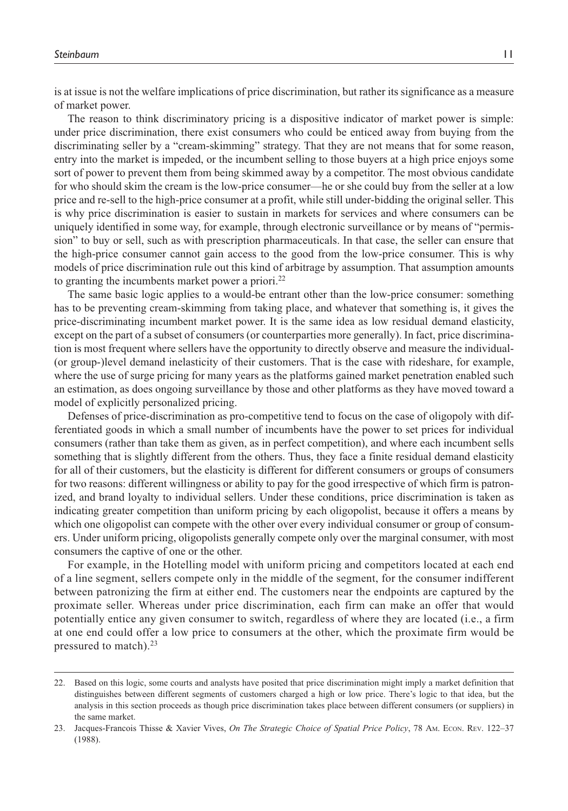is at issue is not the welfare implications of price discrimination, but rather its significance as a measure of market power.

The reason to think discriminatory pricing is a dispositive indicator of market power is simple: under price discrimination, there exist consumers who could be enticed away from buying from the discriminating seller by a "cream-skimming" strategy. That they are not means that for some reason, entry into the market is impeded, or the incumbent selling to those buyers at a high price enjoys some sort of power to prevent them from being skimmed away by a competitor. The most obvious candidate for who should skim the cream is the low-price consumer—he or she could buy from the seller at a low price and re-sell to the high-price consumer at a profit, while still under-bidding the original seller. This is why price discrimination is easier to sustain in markets for services and where consumers can be uniquely identified in some way, for example, through electronic surveillance or by means of "permission" to buy or sell, such as with prescription pharmaceuticals. In that case, the seller can ensure that the high-price consumer cannot gain access to the good from the low-price consumer. This is why models of price discrimination rule out this kind of arbitrage by assumption. That assumption amounts to granting the incumbents market power a priori.<sup>22</sup>

The same basic logic applies to a would-be entrant other than the low-price consumer: something has to be preventing cream-skimming from taking place, and whatever that something is, it gives the price-discriminating incumbent market power. It is the same idea as low residual demand elasticity, except on the part of a subset of consumers (or counterparties more generally). In fact, price discrimination is most frequent where sellers have the opportunity to directly observe and measure the individual- (or group-)level demand inelasticity of their customers. That is the case with rideshare, for example, where the use of surge pricing for many years as the platforms gained market penetration enabled such an estimation, as does ongoing surveillance by those and other platforms as they have moved toward a model of explicitly personalized pricing.

Defenses of price-discrimination as pro-competitive tend to focus on the case of oligopoly with differentiated goods in which a small number of incumbents have the power to set prices for individual consumers (rather than take them as given, as in perfect competition), and where each incumbent sells something that is slightly different from the others. Thus, they face a finite residual demand elasticity for all of their customers, but the elasticity is different for different consumers or groups of consumers for two reasons: different willingness or ability to pay for the good irrespective of which firm is patronized, and brand loyalty to individual sellers. Under these conditions, price discrimination is taken as indicating greater competition than uniform pricing by each oligopolist, because it offers a means by which one oligopolist can compete with the other over every individual consumer or group of consumers. Under uniform pricing, oligopolists generally compete only over the marginal consumer, with most consumers the captive of one or the other.

For example, in the Hotelling model with uniform pricing and competitors located at each end of a line segment, sellers compete only in the middle of the segment, for the consumer indifferent between patronizing the firm at either end. The customers near the endpoints are captured by the proximate seller. Whereas under price discrimination, each firm can make an offer that would potentially entice any given consumer to switch, regardless of where they are located (i.e., a firm at one end could offer a low price to consumers at the other, which the proximate firm would be pressured to match). $23$ 

<sup>22.</sup> Based on this logic, some courts and analysts have posited that price discrimination might imply a market definition that distinguishes between different segments of customers charged a high or low price. There's logic to that idea, but the analysis in this section proceeds as though price discrimination takes place between different consumers (or suppliers) in the same market.

<sup>23.</sup> Jacques-Francois Thisse & Xavier Vives, *On The Strategic Choice of Spatial Price Policy*, 78 Am. Econ. Rev. 122–37 (1988).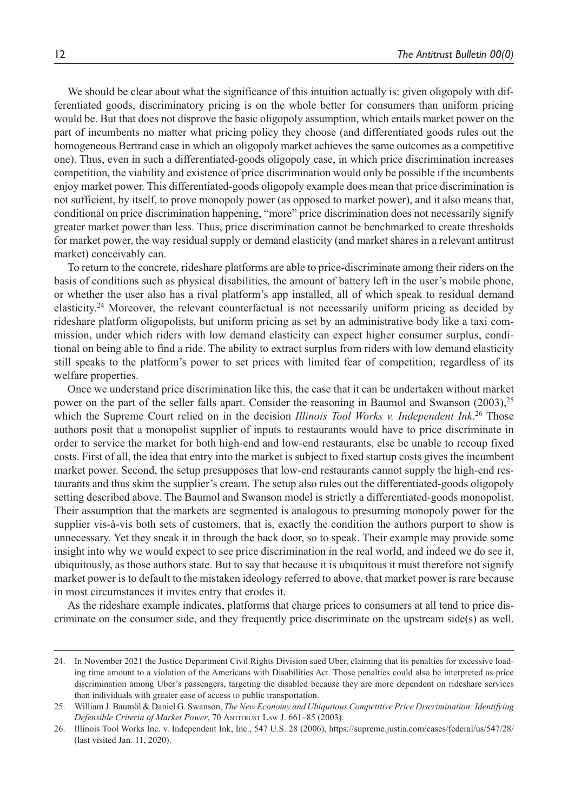We should be clear about what the significance of this intuition actually is: given oligopoly with differentiated goods, discriminatory pricing is on the whole better for consumers than uniform pricing would be. But that does not disprove the basic oligopoly assumption, which entails market power on the part of incumbents no matter what pricing policy they choose (and differentiated goods rules out the homogeneous Bertrand case in which an oligopoly market achieves the same outcomes as a competitive one). Thus, even in such a differentiated-goods oligopoly case, in which price discrimination increases competition, the viability and existence of price discrimination would only be possible if the incumbents enjoy market power. This differentiated-goods oligopoly example does mean that price discrimination is not sufficient, by itself, to prove monopoly power (as opposed to market power), and it also means that, conditional on price discrimination happening, "more" price discrimination does not necessarily signify greater market power than less. Thus, price discrimination cannot be benchmarked to create thresholds for market power, the way residual supply or demand elasticity (and market shares in a relevant antitrust market) conceivably can.

To return to the concrete, rideshare platforms are able to price-discriminate among their riders on the basis of conditions such as physical disabilities, the amount of battery left in the user's mobile phone, or whether the user also has a rival platform's app installed, all of which speak to residual demand elasticity.24 Moreover, the relevant counterfactual is not necessarily uniform pricing as decided by rideshare platform oligopolists, but uniform pricing as set by an administrative body like a taxi commission, under which riders with low demand elasticity can expect higher consumer surplus, conditional on being able to find a ride. The ability to extract surplus from riders with low demand elasticity still speaks to the platform's power to set prices with limited fear of competition, regardless of its welfare properties.

Once we understand price discrimination like this, the case that it can be undertaken without market power on the part of the seller falls apart. Consider the reasoning in Baumol and Swanson  $(2003)$ ,<sup>25</sup> which the Supreme Court relied on in the decision *Illinois Tool Works v. Independent Ink*.<sup>26</sup> Those authors posit that a monopolist supplier of inputs to restaurants would have to price discriminate in order to service the market for both high-end and low-end restaurants, else be unable to recoup fixed costs. First of all, the idea that entry into the market is subject to fixed startup costs gives the incumbent market power. Second, the setup presupposes that low-end restaurants cannot supply the high-end restaurants and thus skim the supplier's cream. The setup also rules out the differentiated-goods oligopoly setting described above. The Baumol and Swanson model is strictly a differentiated-goods monopolist. Their assumption that the markets are segmented is analogous to presuming monopoly power for the supplier vis-à-vis both sets of customers, that is, exactly the condition the authors purport to show is unnecessary. Yet they sneak it in through the back door, so to speak. Their example may provide some insight into why we would expect to see price discrimination in the real world, and indeed we do see it, ubiquitously, as those authors state. But to say that because it is ubiquitous it must therefore not signify market power is to default to the mistaken ideology referred to above, that market power is rare because in most circumstances it invites entry that erodes it.

As the rideshare example indicates, platforms that charge prices to consumers at all tend to price discriminate on the consumer side, and they frequently price discriminate on the upstream side(s) as well.

<sup>24.</sup> In November 2021 the Justice Department Civil Rights Division sued Uber, claiming that its penalties for excessive loading time amount to a violation of the Americans with Disabilities Act. Those penalties could also be interpreted as price discrimination among Uber's passengers, targeting the disabled because they are more dependent on rideshare services than individuals with greater ease of access to public transportation.

<sup>25.</sup> William J. Baumöl & Daniel G. Swanson, *The New Economy and Ubiquitous Competitive Price Discrimination: Identifying Defensible Criteria of Market Power*, 70 Antitrust Law J. 661–85 (2003).

<sup>26.</sup> Illinois Tool Works Inc. v. Independent Ink, Inc., 547 U.S. 28 (2006), <https://supreme.justia.com/cases/federal/us/547/28/> (last visited Jan. 11, 2020).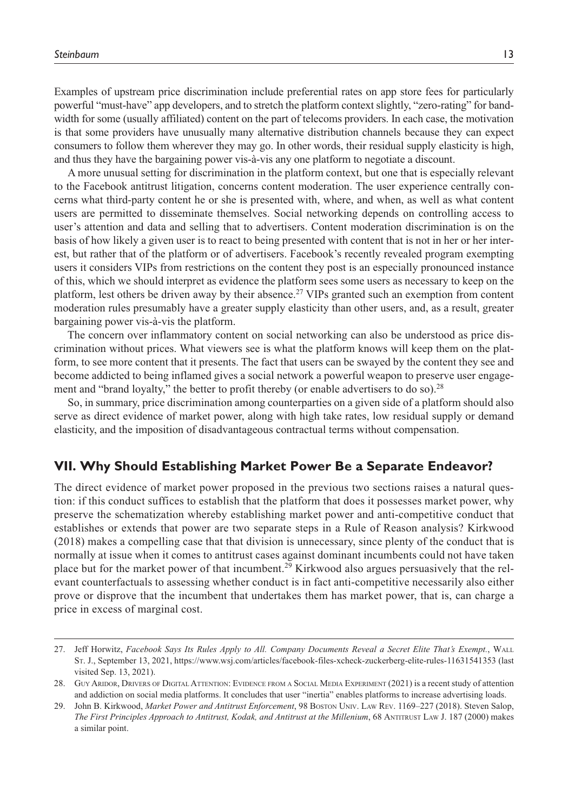Examples of upstream price discrimination include preferential rates on app store fees for particularly powerful "must-have" app developers, and to stretch the platform context slightly, "zero-rating" for bandwidth for some (usually affiliated) content on the part of telecoms providers. In each case, the motivation is that some providers have unusually many alternative distribution channels because they can expect consumers to follow them wherever they may go. In other words, their residual supply elasticity is high, and thus they have the bargaining power vis-à-vis any one platform to negotiate a discount.

A more unusual setting for discrimination in the platform context, but one that is especially relevant to the Facebook antitrust litigation, concerns content moderation. The user experience centrally concerns what third-party content he or she is presented with, where, and when, as well as what content users are permitted to disseminate themselves. Social networking depends on controlling access to user's attention and data and selling that to advertisers. Content moderation discrimination is on the basis of how likely a given user is to react to being presented with content that is not in her or her interest, but rather that of the platform or of advertisers. Facebook's recently revealed program exempting users it considers VIPs from restrictions on the content they post is an especially pronounced instance of this, which we should interpret as evidence the platform sees some users as necessary to keep on the platform, lest others be driven away by their absence.<sup>27</sup> VIPs granted such an exemption from content moderation rules presumably have a greater supply elasticity than other users, and, as a result, greater bargaining power vis-à-vis the platform.

The concern over inflammatory content on social networking can also be understood as price discrimination without prices. What viewers see is what the platform knows will keep them on the platform, to see more content that it presents. The fact that users can be swayed by the content they see and become addicted to being inflamed gives a social network a powerful weapon to preserve user engagement and "brand loyalty," the better to profit thereby (or enable advertisers to do so).<sup>28</sup>

So, in summary, price discrimination among counterparties on a given side of a platform should also serve as direct evidence of market power, along with high take rates, low residual supply or demand elasticity, and the imposition of disadvantageous contractual terms without compensation.

### **VII. Why Should Establishing Market Power Be a Separate Endeavor?**

The direct evidence of market power proposed in the previous two sections raises a natural question: if this conduct suffices to establish that the platform that does it possesses market power, why preserve the schematization whereby establishing market power and anti-competitive conduct that establishes or extends that power are two separate steps in a Rule of Reason analysis? Kirkwood (2018) makes a compelling case that that division is unnecessary, since plenty of the conduct that is normally at issue when it comes to antitrust cases against dominant incumbents could not have taken place but for the market power of that incumbent.29 Kirkwood also argues persuasively that the relevant counterfactuals to assessing whether conduct is in fact anti-competitive necessarily also either prove or disprove that the incumbent that undertakes them has market power, that is, can charge a price in excess of marginal cost.

<sup>27.</sup> Jeff Horwitz, *Facebook Says Its Rules Apply to All. Company Documents Reveal a Secret Elite That's Exempt.*, Wall St. J., September 13, 2021, <https://www.wsj.com/articles/facebook-files-xcheck-zuckerberg-elite-rules-11631541353> (last visited Sep. 13, 2021).

<sup>28.</sup> Guy Aridor, Drivers of Digital Attention: Evidence from <sup>a</sup> Social Media Experiment (2021) is a recent study of attention and addiction on social media platforms. It concludes that user "inertia" enables platforms to increase advertising loads.

<sup>29.</sup> John B. Kirkwood, *Market Power and Antitrust Enforcement*, 98 Boston Univ. Law Rev. 1169–227 (2018). Steven Salop, *The First Principles Approach to Antitrust, Kodak, and Antitrust at the Millenium*, 68 Antitrust Law J. 187 (2000) makes a similar point.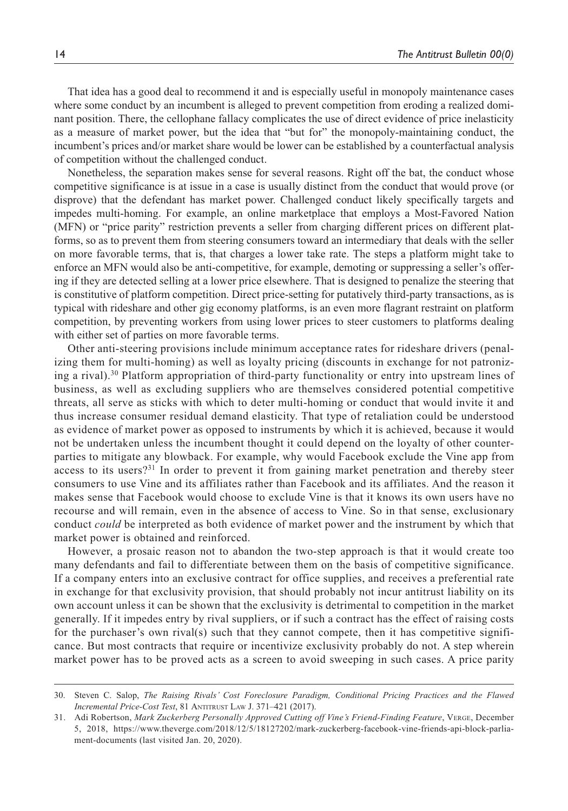That idea has a good deal to recommend it and is especially useful in monopoly maintenance cases where some conduct by an incumbent is alleged to prevent competition from eroding a realized dominant position. There, the cellophane fallacy complicates the use of direct evidence of price inelasticity as a measure of market power, but the idea that "but for" the monopoly-maintaining conduct, the incumbent's prices and/or market share would be lower can be established by a counterfactual analysis of competition without the challenged conduct.

Nonetheless, the separation makes sense for several reasons. Right off the bat, the conduct whose competitive significance is at issue in a case is usually distinct from the conduct that would prove (or disprove) that the defendant has market power. Challenged conduct likely specifically targets and impedes multi-homing. For example, an online marketplace that employs a Most-Favored Nation (MFN) or "price parity" restriction prevents a seller from charging different prices on different platforms, so as to prevent them from steering consumers toward an intermediary that deals with the seller on more favorable terms, that is, that charges a lower take rate. The steps a platform might take to enforce an MFN would also be anti-competitive, for example, demoting or suppressing a seller's offering if they are detected selling at a lower price elsewhere. That is designed to penalize the steering that is constitutive of platform competition. Direct price-setting for putatively third-party transactions, as is typical with rideshare and other gig economy platforms, is an even more flagrant restraint on platform competition, by preventing workers from using lower prices to steer customers to platforms dealing with either set of parties on more favorable terms.

Other anti-steering provisions include minimum acceptance rates for rideshare drivers (penalizing them for multi-homing) as well as loyalty pricing (discounts in exchange for not patronizing a rival).<sup>30</sup> Platform appropriation of third-party functionality or entry into upstream lines of business, as well as excluding suppliers who are themselves considered potential competitive threats, all serve as sticks with which to deter multi-homing or conduct that would invite it and thus increase consumer residual demand elasticity. That type of retaliation could be understood as evidence of market power as opposed to instruments by which it is achieved, because it would not be undertaken unless the incumbent thought it could depend on the loyalty of other counterparties to mitigate any blowback. For example, why would Facebook exclude the Vine app from access to its users? $31$  In order to prevent it from gaining market penetration and thereby steer consumers to use Vine and its affiliates rather than Facebook and its affiliates. And the reason it makes sense that Facebook would choose to exclude Vine is that it knows its own users have no recourse and will remain, even in the absence of access to Vine. So in that sense, exclusionary conduct *could* be interpreted as both evidence of market power and the instrument by which that market power is obtained and reinforced.

However, a prosaic reason not to abandon the two-step approach is that it would create too many defendants and fail to differentiate between them on the basis of competitive significance. If a company enters into an exclusive contract for office supplies, and receives a preferential rate in exchange for that exclusivity provision, that should probably not incur antitrust liability on its own account unless it can be shown that the exclusivity is detrimental to competition in the market generally. If it impedes entry by rival suppliers, or if such a contract has the effect of raising costs for the purchaser's own rival(s) such that they cannot compete, then it has competitive significance. But most contracts that require or incentivize exclusivity probably do not. A step wherein market power has to be proved acts as a screen to avoid sweeping in such cases. A price parity

<sup>30.</sup> Steven C. Salop, *The Raising Rivals' Cost Foreclosure Paradigm, Conditional Pricing Practices and the Flawed Incremental Price-Cost Test*, 81 ANTITRUST LAW J. 371-421 (2017).

<sup>31.</sup> Adi Robertson, *Mark Zuckerberg Personally Approved Cutting off Vine's Friend-Finding Feature*, Verge, December 5, 2018, [https://www.theverge.com/2018/12/5/18127202/mark-zuckerberg-facebook-vine-friends-api-block-parlia](https://www.theverge.com/2018/12/5/18127202/mark-zuckerberg-facebook-vine-friends-api-block-parliament-documents)[ment-documents](https://www.theverge.com/2018/12/5/18127202/mark-zuckerberg-facebook-vine-friends-api-block-parliament-documents) (last visited Jan. 20, 2020).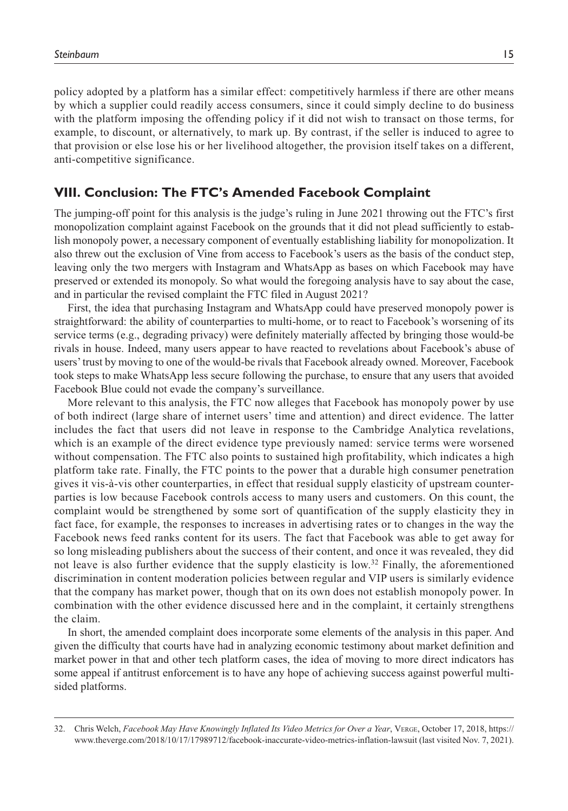policy adopted by a platform has a similar effect: competitively harmless if there are other means by which a supplier could readily access consumers, since it could simply decline to do business with the platform imposing the offending policy if it did not wish to transact on those terms, for example, to discount, or alternatively, to mark up. By contrast, if the seller is induced to agree to that provision or else lose his or her livelihood altogether, the provision itself takes on a different, anti-competitive significance.

#### **VIII. Conclusion: The FTC's Amended Facebook Complaint**

The jumping-off point for this analysis is the judge's ruling in June 2021 throwing out the FTC's first monopolization complaint against Facebook on the grounds that it did not plead sufficiently to establish monopoly power, a necessary component of eventually establishing liability for monopolization. It also threw out the exclusion of Vine from access to Facebook's users as the basis of the conduct step, leaving only the two mergers with Instagram and WhatsApp as bases on which Facebook may have preserved or extended its monopoly. So what would the foregoing analysis have to say about the case, and in particular the revised complaint the FTC filed in August 2021?

First, the idea that purchasing Instagram and WhatsApp could have preserved monopoly power is straightforward: the ability of counterparties to multi-home, or to react to Facebook's worsening of its service terms (e.g., degrading privacy) were definitely materially affected by bringing those would-be rivals in house. Indeed, many users appear to have reacted to revelations about Facebook's abuse of users' trust by moving to one of the would-be rivals that Facebook already owned. Moreover, Facebook took steps to make WhatsApp less secure following the purchase, to ensure that any users that avoided Facebook Blue could not evade the company's surveillance.

More relevant to this analysis, the FTC now alleges that Facebook has monopoly power by use of both indirect (large share of internet users' time and attention) and direct evidence. The latter includes the fact that users did not leave in response to the Cambridge Analytica revelations, which is an example of the direct evidence type previously named: service terms were worsened without compensation. The FTC also points to sustained high profitability, which indicates a high platform take rate. Finally, the FTC points to the power that a durable high consumer penetration gives it vis-à-vis other counterparties, in effect that residual supply elasticity of upstream counterparties is low because Facebook controls access to many users and customers. On this count, the complaint would be strengthened by some sort of quantification of the supply elasticity they in fact face, for example, the responses to increases in advertising rates or to changes in the way the Facebook news feed ranks content for its users. The fact that Facebook was able to get away for so long misleading publishers about the success of their content, and once it was revealed, they did not leave is also further evidence that the supply elasticity is low. $32$  Finally, the aforementioned discrimination in content moderation policies between regular and VIP users is similarly evidence that the company has market power, though that on its own does not establish monopoly power. In combination with the other evidence discussed here and in the complaint, it certainly strengthens the claim.

In short, the amended complaint does incorporate some elements of the analysis in this paper. And given the difficulty that courts have had in analyzing economic testimony about market definition and market power in that and other tech platform cases, the idea of moving to more direct indicators has some appeal if antitrust enforcement is to have any hope of achieving success against powerful multisided platforms.

<sup>32.</sup> Chris Welch, *Facebook May Have Knowingly Inflated Its Video Metrics for Over a Year*, Verge, October 17, 2018, [https://](https://www.theverge.com/2018/10/17/17989712/facebook-inaccurate-video-metrics-inflation-lawsuit) [www.theverge.com/2018/10/17/17989712/facebook-inaccurate-video-metrics-inflation-lawsuit](https://www.theverge.com/2018/10/17/17989712/facebook-inaccurate-video-metrics-inflation-lawsuit) (last visited Nov. 7, 2021).